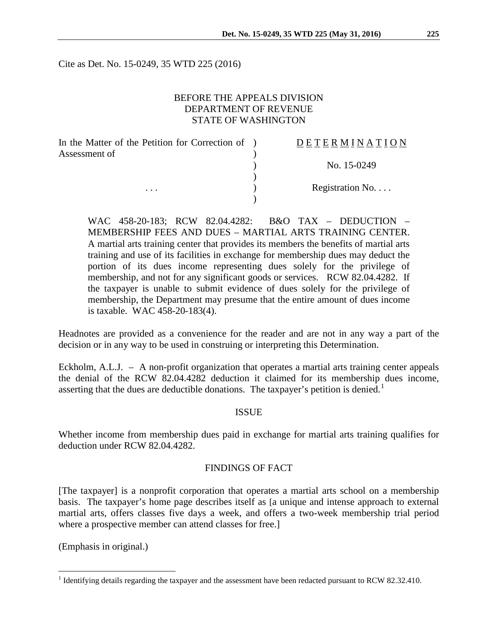Cite as Det. No. 15-0249, 35 WTD 225 (2016)

## BEFORE THE APPEALS DIVISION DEPARTMENT OF REVENUE STATE OF WASHINGTON

| In the Matter of the Petition for Correction of ) | <b>DETERMINATION</b> |
|---------------------------------------------------|----------------------|
| Assessment of                                     |                      |
|                                                   | No. 15-0249          |
|                                                   |                      |
| $\cdots$                                          | Registration No.     |
|                                                   |                      |

WAC 458-20-183; RCW 82.04.4282: B&O TAX – DEDUCTION – MEMBERSHIP FEES AND DUES – MARTIAL ARTS TRAINING CENTER. A martial arts training center that provides its members the benefits of martial arts training and use of its facilities in exchange for membership dues may deduct the portion of its dues income representing dues solely for the privilege of membership, and not for any significant goods or services. RCW 82.04.4282. If the taxpayer is unable to submit evidence of dues solely for the privilege of membership, the Department may presume that the entire amount of dues income is taxable. WAC 458-20-183(4).

Headnotes are provided as a convenience for the reader and are not in any way a part of the decision or in any way to be used in construing or interpreting this Determination.

Eckholm, A.L.J. – A non-profit organization that operates a martial arts training center appeals the denial of the RCW 82.04.4282 deduction it claimed for its membership dues income, asserting that the dues are deductible donations. The taxpayer's petition is denied.<sup>[1](#page-0-0)</sup>

#### ISSUE

Whether income from membership dues paid in exchange for martial arts training qualifies for deduction under RCW 82.04.4282.

#### FINDINGS OF FACT

[The taxpayer] is a nonprofit corporation that operates a martial arts school on a membership basis. The taxpayer's home page describes itself as [a unique and intense approach to external martial arts, offers classes five days a week, and offers a two-week membership trial period where a prospective member can attend classes for free.]

(Emphasis in original.)

<span id="page-0-0"></span><sup>&</sup>lt;sup>1</sup> Identifying details regarding the taxpayer and the assessment have been redacted pursuant to RCW 82.32.410.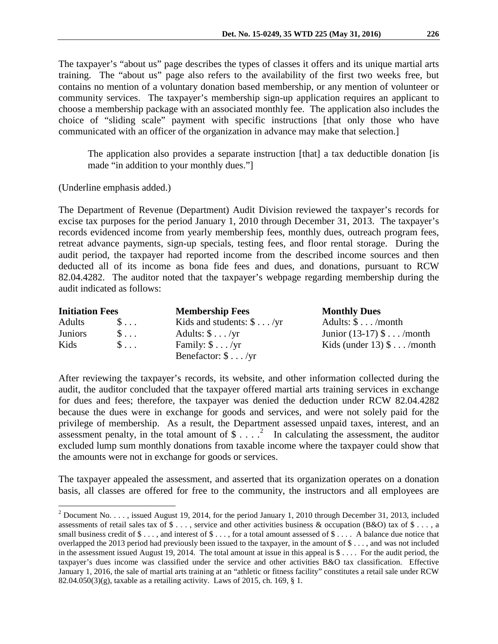The taxpayer's "about us" page describes the types of classes it offers and its unique martial arts training. The "about us" page also refers to the availability of the first two weeks free, but contains no mention of a voluntary donation based membership, or any mention of volunteer or community services. The taxpayer's membership sign-up application requires an applicant to choose a membership package with an associated monthly fee. The application also includes the choice of "sliding scale" payment with specific instructions [that only those who have communicated with an officer of the organization in advance may make that selection.]

The application also provides a separate instruction [that] a tax deductible donation [is made "in addition to your monthly dues."]

(Underline emphasis added.)

The Department of Revenue (Department) Audit Division reviewed the taxpayer's records for excise tax purposes for the period January 1, 2010 through December 31, 2013. The taxpayer's records evidenced income from yearly membership fees, monthly dues, outreach program fees, retreat advance payments, sign-up specials, testing fees, and floor rental storage. During the audit period, the taxpayer had reported income from the described income sources and then deducted all of its income as bona fide fees and dues, and donations, pursuant to RCW 82.04.4282. The auditor noted that the taxpayer's webpage regarding membership during the audit indicated as follows:

| <b>Initiation Fees</b> |                    | <b>Membership Fees</b>           | <b>Monthly Dues</b>         |  |
|------------------------|--------------------|----------------------------------|-----------------------------|--|
| Adults                 | $S \ldots$         | Kids and students: $\$\dots$ /yr | Adults: $\$\dots$ /month    |  |
| <b>Juniors</b>         | $\mathbb{S} \dots$ | Adults: $\$\dots$ /yr            | Junior $(13-17)$ \$  /month |  |
| Kids                   | $S \ldots$         | Family: $\$\dots$ /yr            | Kids (under $13)$ \$/month  |  |
|                        |                    | Benefactor: $\$\dots$ /yr        |                             |  |

After reviewing the taxpayer's records, its website, and other information collected during the audit, the auditor concluded that the taxpayer offered martial arts training services in exchange for dues and fees; therefore, the taxpayer was denied the deduction under RCW 82.04.4282 because the dues were in exchange for goods and services, and were not solely paid for the privilege of membership. As a result, the Department assessed unpaid taxes, interest, and an assessment penalty, in the total amount of  $\frac{1}{2}$  $\frac{1}{2}$  $\frac{1}{2}$ ...  $\frac{2}{1}$  In calculating the assessment, the auditor excluded lump sum monthly donations from taxable income where the taxpayer could show that the amounts were not in exchange for goods or services.

The taxpayer appealed the assessment, and asserted that its organization operates on a donation basis, all classes are offered for free to the community, the instructors and all employees are

<span id="page-1-0"></span><sup>&</sup>lt;sup>2</sup> Document No. . . . , issued August 19, 2014, for the period January 1, 2010 through December 31, 2013, included assessments of retail sales tax of  $\$\ldots$ , service and other activities business & occupation (B&O) tax of  $\$\ldots$ , a small business credit of  $\$\ldots$ , and interest of  $\$\ldots$ , for a total amount assessed of  $\$\ldots$ . A balance due notice that overlapped the 2013 period had previously been issued to the taxpayer, in the amount of \$ . . . , and was not included in the assessment issued August 19, 2014. The total amount at issue in this appeal is  $\frac{6}{5}$ ... For the audit period, the taxpayer's dues income was classified under the service and other activities B&O tax classification. Effective January 1, 2016, the sale of martial arts training at an "athletic or fitness facility" constitutes a retail sale under RCW 82.04.050(3)(g), taxable as a retailing activity. Laws of 2015, ch. 169, § 1.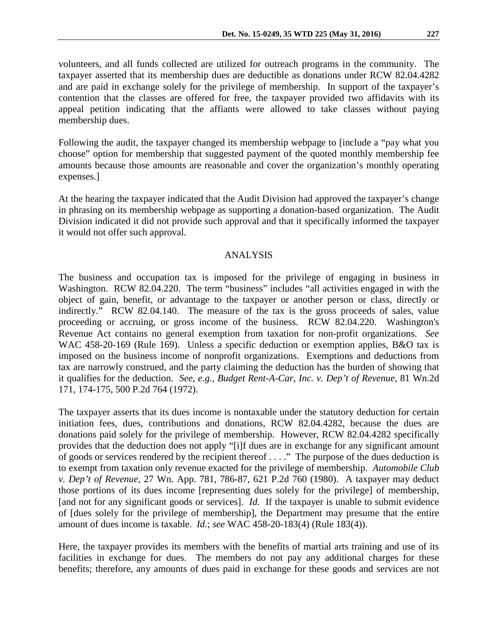volunteers, and all funds collected are utilized for outreach programs in the community. The taxpayer asserted that its membership dues are deductible as donations under RCW 82.04.4282 and are paid in exchange solely for the privilege of membership. In support of the taxpayer's contention that the classes are offered for free, the taxpayer provided two affidavits with its appeal petition indicating that the affiants were allowed to take classes without paying membership dues.

Following the audit, the taxpayer changed its membership webpage to [include a "pay what you choose" option for membership that suggested payment of the quoted monthly membership fee amounts because those amounts are reasonable and cover the organization's monthly operating expenses.]

At the hearing the taxpayer indicated that the Audit Division had approved the taxpayer's change in phrasing on its membership webpage as supporting a donation-based organization. The Audit Division indicated it did not provide such approval and that it specifically informed the taxpayer it would not offer such approval.

### ANALYSIS

The business and occupation tax is imposed for the privilege of engaging in business in Washington. RCW 82.04.220. The term "business" includes "all activities engaged in with the object of gain, benefit, or advantage to the taxpayer or another person or class, directly or indirectly." RCW 82.04.140. The measure of the tax is the gross proceeds of sales, value proceeding or accruing, or gross income of the business. RCW 82.04.220. Washington's Revenue Act contains no general exemption from taxation for non-profit organizations. *See* WAC 458-20-169 (Rule 169). Unless a specific deduction or exemption applies, B&O tax is imposed on the business income of nonprofit organizations. Exemptions and deductions from tax are narrowly construed, and the party claiming the deduction has the burden of showing that it qualifies for the deduction. *See, e.g., Budget Rent-A-Car, Inc. v. Dep't of Revenue*, 81 Wn.2d 171, 174-175, 500 P.2d 764 (1972).

The taxpayer asserts that its dues income is nontaxable under the statutory deduction for certain initiation fees, dues, contributions and donations, RCW 82.04.4282, because the dues are donations paid solely for the privilege of membership. However, RCW 82.04.4282 specifically provides that the deduction does not apply "[i]f dues are in exchange for any significant amount of goods or services rendered by the recipient thereof . . . ." The purpose of the dues deduction is to exempt from taxation only revenue exacted for the privilege of membership. *Automobile Club v. Dep't of Revenue*, 27 Wn. App. 781, 786-87, 621 P.2d 760 (1980). A taxpayer may deduct those portions of its dues income [representing dues solely for the privilege] of membership, [and not for any significant goods or services]. *Id.* If the taxpayer is unable to submit evidence of [dues solely for the privilege of membership], the Department may presume that the entire amount of dues income is taxable. *Id.*; *see* WAC 458-20-183(4) (Rule 183(4)).

Here, the taxpayer provides its members with the benefits of martial arts training and use of its facilities in exchange for dues. The members do not pay any additional charges for these benefits; therefore, any amounts of dues paid in exchange for these goods and services are not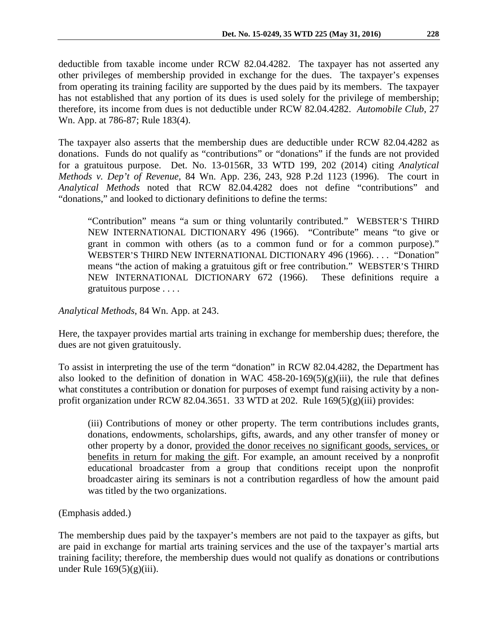deductible from taxable income under RCW 82.04.4282. The taxpayer has not asserted any other privileges of membership provided in exchange for the dues. The taxpayer's expenses from operating its training facility are supported by the dues paid by its members. The taxpayer has not established that any portion of its dues is used solely for the privilege of membership; therefore, its income from dues is not deductible under RCW 82.04.4282. *Automobile Club*, 27 Wn. App. at 786-87; Rule 183(4).

The taxpayer also asserts that the membership dues are deductible under RCW 82.04.4282 as donations. Funds do not qualify as "contributions" or "donations" if the funds are not provided for a gratuitous purpose. Det. No. 13-0156R, 33 WTD 199, 202 (2014) citing *Analytical Methods v. Dep't of Revenue,* 84 Wn. App. 236, 243, 928 P.2d 1123 (1996). The court in *Analytical Methods* noted that RCW 82.04.4282 does not define "contributions" and "donations," and looked to dictionary definitions to define the terms:

"Contribution" means "a sum or thing voluntarily contributed." WEBSTER'S THIRD NEW INTERNATIONAL DICTIONARY 496 (1966). "Contribute" means "to give or grant in common with others (as to a common fund or for a common purpose)." WEBSTER'S THIRD NEW INTERNATIONAL DICTIONARY 496 (1966). . . . "Donation" means "the action of making a gratuitous gift or free contribution." WEBSTER'S THIRD NEW INTERNATIONAL DICTIONARY 672 (1966). These definitions require a gratuitous purpose . . . .

*Analytical Methods*, 84 Wn. App. at 243.

Here, the taxpayer provides martial arts training in exchange for membership dues; therefore, the dues are not given gratuitously.

To assist in interpreting the use of the term "donation" in RCW 82.04.4282, the Department has also looked to the definition of donation in WAC  $458-20-169(5)(g)(iii)$ , the rule that defines what constitutes a contribution or donation for purposes of exempt fund raising activity by a nonprofit organization under RCW 82.04.3651. 33 WTD at 202. Rule  $169(5)(g)(iii)$  provides:

(iii) Contributions of money or other property. The term contributions includes grants, donations, endowments, scholarships, gifts, awards, and any other transfer of money or other property by a donor, provided the donor receives no significant goods, services, or benefits in return for making the gift. For example, an amount received by a nonprofit educational broadcaster from a group that conditions receipt upon the nonprofit broadcaster airing its seminars is not a contribution regardless of how the amount paid was titled by the two organizations.

(Emphasis added.)

The membership dues paid by the taxpayer's members are not paid to the taxpayer as gifts, but are paid in exchange for martial arts training services and the use of the taxpayer's martial arts training facility; therefore, the membership dues would not qualify as donations or contributions under Rule  $169(5)(g)(iii)$ .